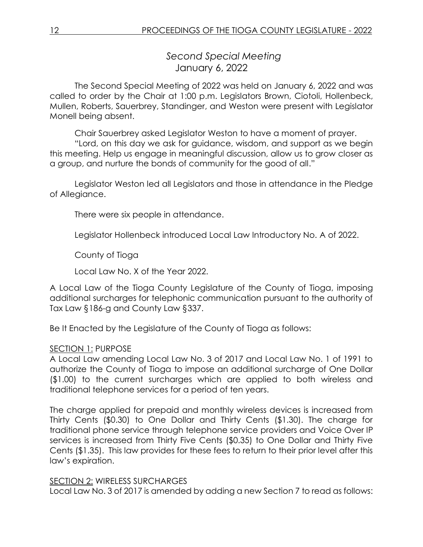*Second Special Meeting* January 6, 2022

The Second Special Meeting of 2022 was held on January 6, 2022 and was called to order by the Chair at 1:00 p.m. Legislators Brown, Ciotoli, Hollenbeck, Mullen, Roberts, Sauerbrey, Standinger, and Weston were present with Legislator Monell being absent.

Chair Sauerbrey asked Legislator Weston to have a moment of prayer.

"Lord, on this day we ask for guidance, wisdom, and support as we begin this meeting. Help us engage in meaningful discussion, allow us to grow closer as a group, and nurture the bonds of community for the good of all."

Legislator Weston led all Legislators and those in attendance in the Pledge of Allegiance.

There were six people in attendance.

Legislator Hollenbeck introduced Local Law Introductory No. A of 2022.

County of Tioga

Local Law No. X of the Year 2022.

A Local Law of the Tioga County Legislature of the County of Tioga, imposing additional surcharges for telephonic communication pursuant to the authority of Tax Law §186-g and County Law §337.

Be It Enacted by the Legislature of the County of Tioga as follows:

### SECTION 1: PURPOSE

A Local Law amending Local Law No. 3 of 2017 and Local Law No. 1 of 1991 to authorize the County of Tioga to impose an additional surcharge of One Dollar (\$1.00) to the current surcharges which are applied to both wireless and traditional telephone services for a period of ten years.

The charge applied for prepaid and monthly wireless devices is increased from Thirty Cents (\$0.30) to One Dollar and Thirty Cents (\$1.30). The charge for traditional phone service through telephone service providers and Voice Over IP services is increased from Thirty Five Cents (\$0.35) to One Dollar and Thirty Five Cents (\$1.35). This law provides for these fees to return to their prior level after this law's expiration.

### SECTION 2: WIRELESS SURCHARGES

Local Law No. 3 of 2017 is amended by adding a new Section 7 to read as follows: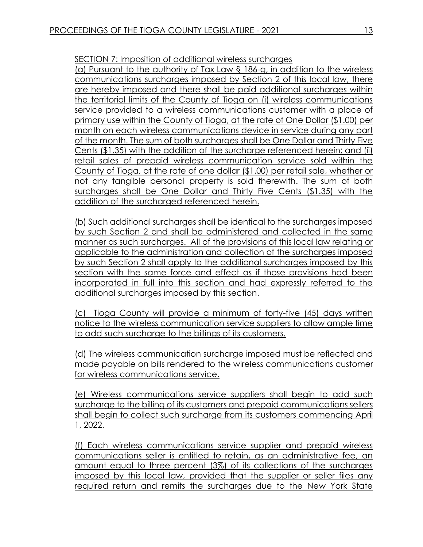SECTION 7: Imposition of additional wireless surcharges

(a) Pursuant to the authority of Tax Law § 186-g, in addition to the wireless communications surcharges imposed by Section 2 of this local law, there are hereby imposed and there shall be paid additional surcharges within the territorial limits of the County of Tioga on (i) wireless communications service provided to a wireless communications customer with a place of primary use within the County of Tioga, at the rate of One Dollar (\$1.00) per month on each wireless communications device in service during any part of the month. The sum of both surcharges shall be One Dollar and Thirty Five Cents (\$1.35) with the addition of the surcharge referenced herein; and (ii) retail sales of prepaid wireless communication service sold within the County of Tioga, at the rate of one dollar (\$1.00) per retail sale, whether or not any tangible personal property is sold therewith. The sum of both surcharges shall be One Dollar and Thirty Five Cents (\$1.35) with the addition of the surcharged referenced herein.

(b) Such additional surcharges shall be identical to the surcharges imposed by such Section 2 and shall be administered and collected in the same manner as such surcharges. All of the provisions of this local law relating or applicable to the administration and collection of the surcharges imposed by such Section 2 shall apply to the additional surcharges imposed by this section with the same force and effect as if those provisions had been incorporated in full into this section and had expressly referred to the additional surcharges imposed by this section.

(c) Tioga County will provide a minimum of forty-five (45) days written notice to the wireless communication service suppliers to allow ample time to add such surcharge to the billings of its customers.

(d) The wireless communication surcharge imposed must be reflected and made payable on bills rendered to the wireless communications customer for wireless communications service.

(e) Wireless communications service suppliers shall begin to add such surcharge to the billing of its customers and prepaid communications sellers shall begin to collect such surcharge from its customers commencing April 1, 2022.

(f) Each wireless communications service supplier and prepaid wireless communications seller is entitled to retain, as an administrative fee, an amount equal to three percent (3%) of its collections of the surcharges imposed by this local law, provided that the supplier or seller files any required return and remits the surcharges due to the New York State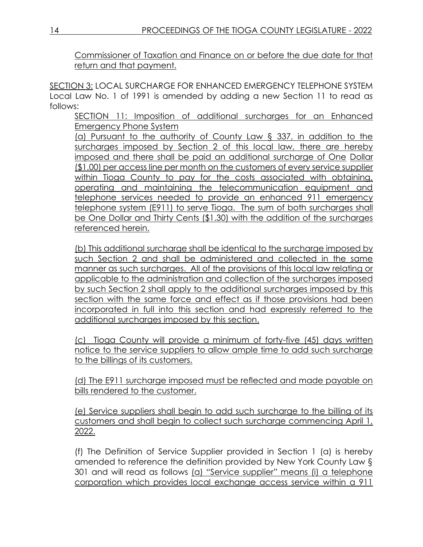Commissioner of Taxation and Finance on or before the due date for that return and that payment.

SECTION 3: LOCAL SURCHARGE FOR ENHANCED EMERGENCY TELEPHONE SYSTEM Local Law No. 1 of 1991 is amended by adding a new Section 11 to read as follows:

SECTION 11: Imposition of additional surcharges for an Enhanced Emergency Phone System

(a) Pursuant to the authority of County Law § 337, in addition to the surcharges imposed by Section 2 of this local law, there are hereby imposed and there shall be paid an additional surcharge of One Dollar (\$1.00) per access line per month on the customers of every service supplier within Tioga County to pay for the costs associated with obtaining, operating and maintaining the telecommunication equipment and telephone services needed to provide an enhanced 911 emergency telephone system (E911) to serve Tioga. The sum of both surcharges shall be One Dollar and Thirty Cents (\$1.30) with the addition of the surcharges referenced herein.

(b) This additional surcharge shall be identical to the surcharge imposed by such Section 2 and shall be administered and collected in the same manner as such surcharges. All of the provisions of this local law relating or applicable to the administration and collection of the surcharges imposed by such Section 2 shall apply to the additional surcharges imposed by this section with the same force and effect as if those provisions had been incorporated in full into this section and had expressly referred to the additional surcharges imposed by this section.

(c) Tioga County will provide a minimum of forty-five (45) days written notice to the service suppliers to allow ample time to add such surcharge to the billings of its customers.

(d) The E911 surcharge imposed must be reflected and made payable on bills rendered to the customer.

(e) Service suppliers shall begin to add such surcharge to the billing of its customers and shall begin to collect such surcharge commencing April 1, 2022.

(f) The Definition of Service Supplier provided in Section 1 (a) is hereby amended to reference the definition provided by New York County Law § 301 and will read as follows (a) "Service supplier" means (i) a telephone corporation which provides local exchange access service within a 911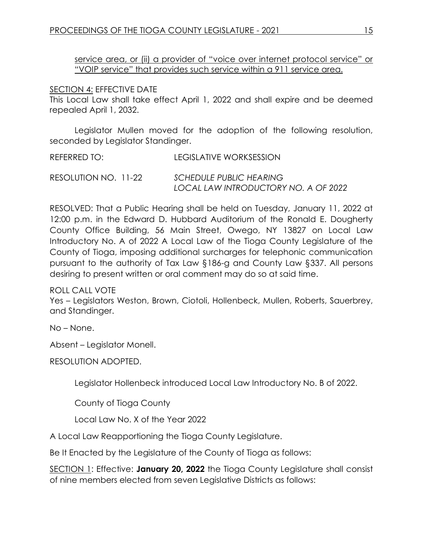service area, or (ii) a provider of "voice over internet protocol service" or "VOIP service" that provides such service within a 911 service area.

## SECTION 4: EFFECTIVE DATE

This Local Law shall take effect April 1, 2022 and shall expire and be deemed repealed April 1, 2032.

Legislator Mullen moved for the adoption of the following resolution, seconded by Legislator Standinger.

| REFERRED TO:         | LEGISLATIVE WORKSESSION        |
|----------------------|--------------------------------|
| RESOLUTION NO. 11-22 | <b>SCHEDULE PUBLIC HEARING</b> |

*LOCAL LAW INTRODUCTORY NO. A OF 2022*

RESOLVED: That a Public Hearing shall be held on Tuesday, January 11, 2022 at 12:00 p.m. in the Edward D. Hubbard Auditorium of the Ronald E. Dougherty County Office Building, 56 Main Street, Owego, NY 13827 on Local Law Introductory No. A of 2022 A Local Law of the Tioga County Legislature of the County of Tioga, imposing additional surcharges for telephonic communication pursuant to the authority of Tax Law §186-g and County Law §337. All persons desiring to present written or oral comment may do so at said time.

ROLL CALL VOTE

Yes – Legislators Weston, Brown, Ciotoli, Hollenbeck, Mullen, Roberts, Sauerbrey, and Standinger.

No – None.

Absent – Legislator Monell.

RESOLUTION ADOPTED.

Legislator Hollenbeck introduced Local Law Introductory No. B of 2022.

County of Tioga County

Local Law No. X of the Year 2022

A Local Law Reapportioning the Tioga County Legislature.

Be It Enacted by the Legislature of the County of Tioga as follows:

SECTION 1: Effective: **January 20, 2022** the Tioga County Legislature shall consist of nine members elected from seven Legislative Districts as follows: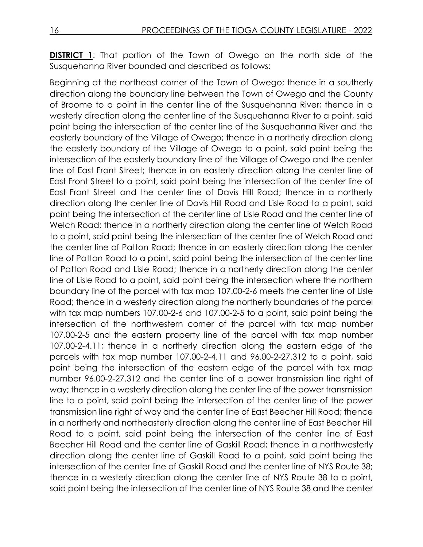**DISTRICT 1**: That portion of the Town of Owego on the north side of the Susquehanna River bounded and described as follows:

Beginning at the northeast corner of the Town of Owego; thence in a southerly direction along the boundary line between the Town of Owego and the County of Broome to a point in the center line of the Susquehanna River; thence in a westerly direction along the center line of the Susquehanna River to a point, said point being the intersection of the center line of the Susquehanna River and the easterly boundary of the Village of Owego; thence in a northerly direction along the easterly boundary of the Village of Owego to a point, said point being the intersection of the easterly boundary line of the Village of Owego and the center line of East Front Street; thence in an easterly direction along the center line of East Front Street to a point, said point being the intersection of the center line of East Front Street and the center line of Davis Hill Road; thence in a northerly direction along the center line of Davis Hill Road and Lisle Road to a point, said point being the intersection of the center line of Lisle Road and the center line of Welch Road; thence in a northerly direction along the center line of Welch Road to a point, said point being the intersection of the center line of Welch Road and the center line of Patton Road; thence in an easterly direction along the center line of Patton Road to a point, said point being the intersection of the center line of Patton Road and Lisle Road; thence in a northerly direction along the center line of Lisle Road to a point, said point being the intersection where the northern boundary line of the parcel with tax map 107.00-2-6 meets the center line of Lisle Road; thence in a westerly direction along the northerly boundaries of the parcel with tax map numbers 107.00-2-6 and 107.00-2-5 to a point, said point being the intersection of the northwestern corner of the parcel with tax map number 107.00-2-5 and the eastern property line of the parcel with tax map number 107.00-2-4.11; thence in a northerly direction along the eastern edge of the parcels with tax map number 107.00-2-4.11 and 96.00-2-27.312 to a point, said point being the intersection of the eastern edge of the parcel with tax map number 96.00-2-27.312 and the center line of a power transmission line right of way; thence in a westerly direction along the center line of the power transmission line to a point, said point being the intersection of the center line of the power transmission line right of way and the center line of East Beecher Hill Road; thence in a northerly and northeasterly direction along the center line of East Beecher Hill Road to a point, said point being the intersection of the center line of East Beecher Hill Road and the center line of Gaskill Road; thence in a northwesterly direction along the center line of Gaskill Road to a point, said point being the intersection of the center line of Gaskill Road and the center line of NYS Route 38; thence in a westerly direction along the center line of NYS Route 38 to a point, said point being the intersection of the center line of NYS Route 38 and the center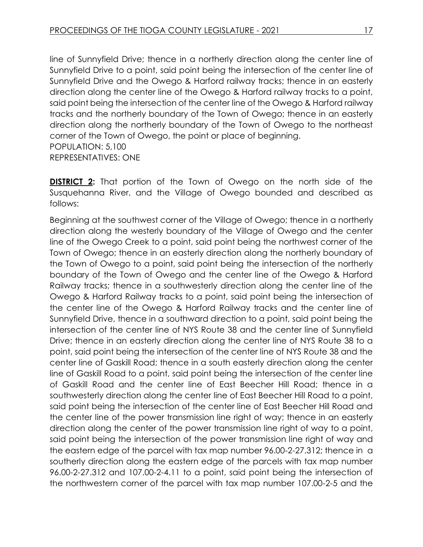line of Sunnyfield Drive; thence in a northerly direction along the center line of Sunnyfield Drive to a point, said point being the intersection of the center line of Sunnyfield Drive and the Owego & Harford railway tracks; thence in an easterly direction along the center line of the Owego & Harford railway tracks to a point, said point being the intersection of the center line of the Owego & Harford railway tracks and the northerly boundary of the Town of Owego; thence in an easterly direction along the northerly boundary of the Town of Owego to the northeast corner of the Town of Owego, the point or place of beginning. POPULATION: 5,100 REPRESENTATIVES: ONE

**DISTRICT 2:** That portion of the Town of Owego on the north side of the Susquehanna River, and the Village of Owego bounded and described as follows:

Beginning at the southwest corner of the Village of Owego; thence in a northerly direction along the westerly boundary of the Village of Owego and the center line of the Owego Creek to a point, said point being the northwest corner of the Town of Owego; thence in an easterly direction along the northerly boundary of the Town of Owego to a point, said point being the intersection of the northerly boundary of the Town of Owego and the center line of the Owego & Harford Railway tracks; thence in a southwesterly direction along the center line of the Owego & Harford Railway tracks to a point, said point being the intersection of the center line of the Owego & Harford Railway tracks and the center line of Sunnyfield Drive, thence in a southward direction to a point, said point being the intersection of the center line of NYS Route 38 and the center line of Sunnyfield Drive; thence in an easterly direction along the center line of NYS Route 38 to a point, said point being the intersection of the center line of NYS Route 38 and the center line of Gaskill Road; thence in a south easterly direction along the center line of Gaskill Road to a point, said point being the intersection of the center line of Gaskill Road and the center line of East Beecher Hill Road; thence in a southwesterly direction along the center line of East Beecher Hill Road to a point, said point being the intersection of the center line of East Beecher Hill Road and the center line of the power transmission line right of way; thence in an easterly direction along the center of the power transmission line right of way to a point, said point being the intersection of the power transmission line right of way and the eastern edge of the parcel with tax map number 96.00-2-27.312; thence in a southerly direction along the eastern edge of the parcels with tax map number 96.00-2-27.312 and 107.00-2-4.11 to a point, said point being the intersection of the northwestern corner of the parcel with tax map number 107.00-2-5 and the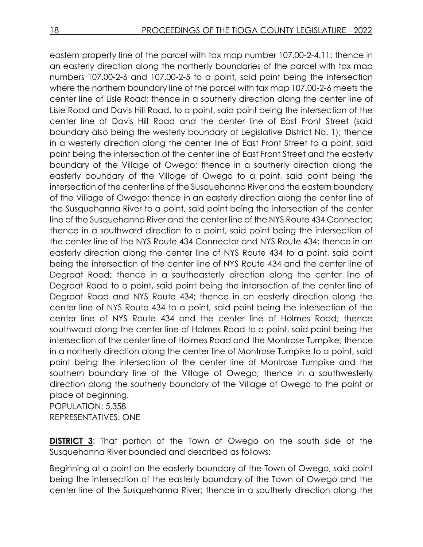eastern property line of the parcel with tax map number 107.00-2-4.11; thence in an easterly direction along the northerly boundaries of the parcel with tax map numbers 107.00-2-6 and 107.00-2-5 to a point, said point being the intersection where the northern boundary line of the parcel with tax map 107.00-2-6 meets the center line of Lisle Road; thence in a southerly direction along the center line of Lisle Road and Davis Hill Road, to a point, said point being the intersection of the center line of Davis Hill Road and the center line of East Front Street (said boundary also being the westerly boundary of Legislative District No. 1); thence in a westerly direction along the center line of East Front Street to a point, said point being the intersection of the center line of East Front Street and the easterly boundary of the Village of Owego; thence in a southerly direction along the easterly boundary of the Village of Owego to a point, said point being the intersection of the center line of the Susquehanna River and the eastern boundary of the Village of Owego; thence in an easterly direction along the center line of the Susquehanna River to a point, said point being the intersection of the center line of the Susquehanna River and the center line of the NYS Route 434 Connector; thence in a southward direction to a point, said point being the intersection of the center line of the NYS Route 434 Connector and NYS Route 434; thence in an easterly direction along the center line of NYS Route 434 to a point, said point being the intersection of the center line of NYS Route 434 and the center line of Degroat Road; thence in a southeasterly direction along the center line of Degroat Road to a point, said point being the intersection of the center line of Degroat Road and NYS Route 434; thence in an easterly direction along the center line of NYS Route 434 to a point, said point being the intersection of the center line of NYS Route 434 and the center line of Holmes Road; thence southward along the center line of Holmes Road to a point, said point being the intersection of the center line of Holmes Road and the Montrose Turnpike; thence in a northerly direction along the center line of Montrose Turnpike to a point, said point being the intersection of the center line of Montrose Turnpike and the southern boundary line of the Village of Owego; thence in a southwesterly direction along the southerly boundary of the Village of Owego to the point or place of beginning. POPULATION: 5,358

REPRESENTATIVES: ONE

**DISTRICT 3:** That portion of the Town of Owego on the south side of the Susquehanna River bounded and described as follows:

Beginning at a point on the easterly boundary of the Town of Owego, said point being the intersection of the easterly boundary of the Town of Owego and the center line of the Susquehanna River; thence in a southerly direction along the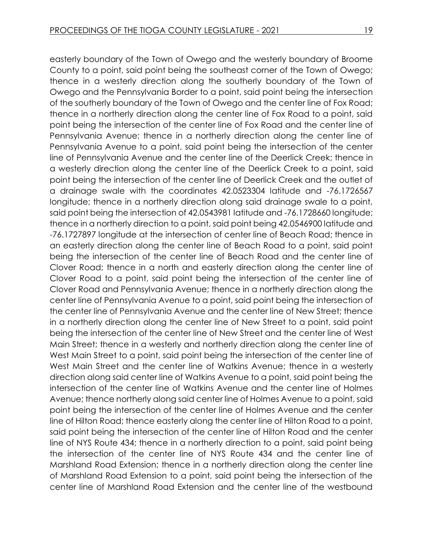easterly boundary of the Town of Owego and the westerly boundary of Broome County to a point, said point being the southeast corner of the Town of Owego; thence in a westerly direction along the southerly boundary of the Town of Owego and the Pennsylvania Border to a point, said point being the intersection of the southerly boundary of the Town of Owego and the center line of Fox Road; thence in a northerly direction along the center line of Fox Road to a point, said point being the intersection of the center line of Fox Road and the center line of Pennsylvania Avenue; thence in a northerly direction along the center line of Pennsylvania Avenue to a point, said point being the intersection of the center line of Pennsylvania Avenue and the center line of the Deerlick Creek; thence in a westerly direction along the center line of the Deerlick Creek to a point, said point being the intersection of the center line of Deerlick Creek and the outlet of a drainage swale with the coordinates 42.0523304 latitude and -76.1726567 longitude; thence in a northerly direction along said drainage swale to a point, said point being the intersection of 42.0543981 latitude and -76.1728660 longitude; thence in a northerly direction to a point, said point being 42.0546900 latitude and -76.1727897 longitude at the intersection of center line of Beach Road; thence in an easterly direction along the center line of Beach Road to a point, said point being the intersection of the center line of Beach Road and the center line of Clover Road; thence in a north and easterly direction along the center line of Clover Road to a point, said point being the intersection of the center line of Clover Road and Pennsylvania Avenue; thence in a northerly direction along the center line of Pennsylvania Avenue to a point, said point being the intersection of the center line of Pennsylvania Avenue and the center line of New Street; thence in a northerly direction along the center line of New Street to a point, said point being the intersection of the center line of New Street and the center line of West Main Street; thence in a westerly and northerly direction along the center line of West Main Street to a point, said point being the intersection of the center line of West Main Street and the center line of Watkins Avenue; thence in a westerly direction along said center line of Watkins Avenue to a point, said point being the intersection of the center line of Watkins Avenue and the center line of Holmes Avenue; thence northerly along said center line of Holmes Avenue to a point, said point being the intersection of the center line of Holmes Avenue and the center line of Hilton Road; thence easterly along the center line of Hilton Road to a point, said point being the intersection of the center line of Hilton Road and the center line of NYS Route 434; thence in a northerly direction to a point, said point being the intersection of the center line of NYS Route 434 and the center line of Marshland Road Extension; thence in a northerly direction along the center line of Marshland Road Extension to a point, said point being the intersection of the center line of Marshland Road Extension and the center line of the westbound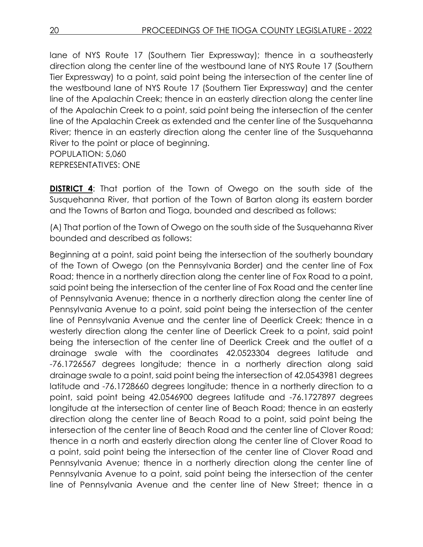lane of NYS Route 17 (Southern Tier Expressway); thence in a southeasterly direction along the center line of the westbound lane of NYS Route 17 (Southern Tier Expressway) to a point, said point being the intersection of the center line of the westbound lane of NYS Route 17 (Southern Tier Expressway) and the center line of the Apalachin Creek; thence in an easterly direction along the center line of the Apalachin Creek to a point, said point being the intersection of the center line of the Apalachin Creek as extended and the center line of the Susquehanna River; thence in an easterly direction along the center line of the Susquehanna River to the point or place of beginning. POPULATION: 5,060

REPRESENTATIVES: ONE

**DISTRICT 4:** That portion of the Town of Owego on the south side of the Susquehanna River, that portion of the Town of Barton along its eastern border and the Towns of Barton and Tioga, bounded and described as follows:

(A) That portion of the Town of Owego on the south side of the Susquehanna River bounded and described as follows:

Beginning at a point, said point being the intersection of the southerly boundary of the Town of Owego (on the Pennsylvania Border) and the center line of Fox Road; thence in a northerly direction along the center line of Fox Road to a point, said point being the intersection of the center line of Fox Road and the center line of Pennsylvania Avenue; thence in a northerly direction along the center line of Pennsylvania Avenue to a point, said point being the intersection of the center line of Pennsylvania Avenue and the center line of Deerlick Creek; thence in a westerly direction along the center line of Deerlick Creek to a point, said point being the intersection of the center line of Deerlick Creek and the outlet of a drainage swale with the coordinates 42.0523304 degrees latitude and -76.1726567 degrees longitude; thence in a northerly direction along said drainage swale to a point, said point being the intersection of 42.0543981 degrees latitude and -76.1728660 degrees longitude; thence in a northerly direction to a point, said point being 42.0546900 degrees latitude and -76.1727897 degrees longitude at the intersection of center line of Beach Road; thence in an easterly direction along the center line of Beach Road to a point, said point being the intersection of the center line of Beach Road and the center line of Clover Road; thence in a north and easterly direction along the center line of Clover Road to a point, said point being the intersection of the center line of Clover Road and Pennsylvania Avenue; thence in a northerly direction along the center line of Pennsylvania Avenue to a point, said point being the intersection of the center line of Pennsylvania Avenue and the center line of New Street; thence in a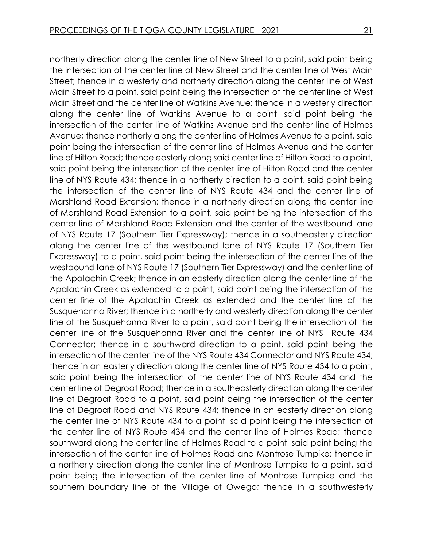northerly direction along the center line of New Street to a point, said point being the intersection of the center line of New Street and the center line of West Main Street; thence in a westerly and northerly direction along the center line of West Main Street to a point, said point being the intersection of the center line of West Main Street and the center line of Watkins Avenue; thence in a westerly direction along the center line of Watkins Avenue to a point, said point being the intersection of the center line of Watkins Avenue and the center line of Holmes Avenue; thence northerly along the center line of Holmes Avenue to a point, said point being the intersection of the center line of Holmes Avenue and the center line of Hilton Road; thence easterly along said center line of Hilton Road to a point, said point being the intersection of the center line of Hilton Road and the center line of NYS Route 434; thence in a northerly direction to a point, said point being the intersection of the center line of NYS Route 434 and the center line of Marshland Road Extension; thence in a northerly direction along the center line of Marshland Road Extension to a point, said point being the intersection of the center line of Marshland Road Extension and the center of the westbound lane of NYS Route 17 (Southern Tier Expressway); thence in a southeasterly direction along the center line of the westbound lane of NYS Route 17 (Southern Tier Expressway) to a point, said point being the intersection of the center line of the westbound lane of NYS Route 17 (Southern Tier Expressway) and the center line of the Apalachin Creek; thence in an easterly direction along the center line of the Apalachin Creek as extended to a point, said point being the intersection of the center line of the Apalachin Creek as extended and the center line of the Susquehanna River; thence in a northerly and westerly direction along the center line of the Susquehanna River to a point, said point being the intersection of the center line of the Susquehanna River and the center line of NYS Route 434 Connector; thence in a southward direction to a point, said point being the intersection of the center line of the NYS Route 434 Connector and NYS Route 434; thence in an easterly direction along the center line of NYS Route 434 to a point, said point being the intersection of the center line of NYS Route 434 and the center line of Degroat Road; thence in a southeasterly direction along the center line of Degroat Road to a point, said point being the intersection of the center line of Degroat Road and NYS Route 434; thence in an easterly direction along the center line of NYS Route 434 to a point, said point being the intersection of the center line of NYS Route 434 and the center line of Holmes Road; thence southward along the center line of Holmes Road to a point, said point being the intersection of the center line of Holmes Road and Montrose Turnpike; thence in a northerly direction along the center line of Montrose Turnpike to a point, said point being the intersection of the center line of Montrose Turnpike and the southern boundary line of the Village of Owego; thence in a southwesterly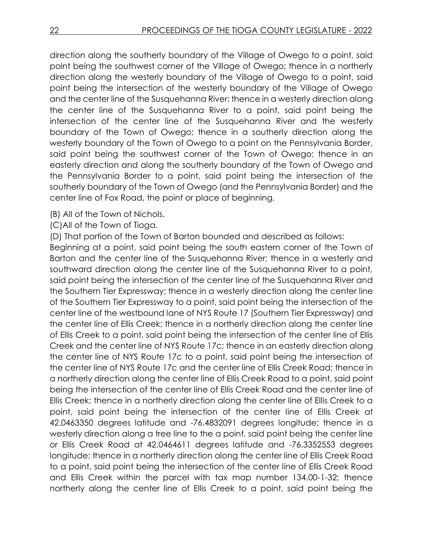direction along the southerly boundary of the Village of Owego to a point, said point being the southwest corner of the Village of Owego; thence in a northerly direction along the westerly boundary of the Village of Owego to a point, said point being the intersection of the westerly boundary of the Village of Owego and the center line of the Susquehanna River; thence in a westerly direction along the center line of the Susquehanna River to a point, said point being the intersection of the center line of the Susquehanna River and the westerly boundary of the Town of Owego; thence in a southerly direction along the westerly boundary of the Town of Owego to a point on the Pennsylvania Border, said point being the southwest corner of the Town of Owego; thence in an easterly direction and along the southerly boundary of the Town of Owego and the Pennsylvania Border to a point, said point being the intersection of the southerly boundary of the Town of Owego (and the Pennsylvania Border) and the center line of Fox Road, the point or place of beginning.

- (B) All of the Town of Nichols.
- (C)All of the Town of Tioga.
- (D) That portion of the Town of Barton bounded and described as follows:

Beginning at a point, said point being the south eastern corner of the Town of Barton and the center line of the Susquehanna River; thence in a westerly and southward direction along the center line of the Susquehanna River to a point, said point being the intersection of the center line of the Susquehanna River and the Southern Tier Expressway; thence in a westerly direction along the center line of the Southern Tier Expressway to a point, said point being the intersection of the center line of the westbound lane of NYS Route 17 (Southern Tier Expressway) and the center line of Ellis Creek; thence in a northerly direction along the center line of Ellis Creek to a point, said point being the intersection of the center line of Ellis Creek and the center line of NYS Route 17c; thence in an easterly direction along the center line of NYS Route 17c to a point, said point being the intersection of the center line of NYS Route 17c and the center line of Ellis Creek Road; thence in a northerly direction along the center line of Ellis Creek Road to a point, said point being the intersection of the center line of Ellis Creek Road and the center line of Ellis Creek; thence in a northerly direction along the center line of Ellis Creek to a point, said point being the intersection of the center line of Ellis Creek at 42.0463350 degrees latitude and -76.4832091 degrees longitude; thence in a westerly direction along a tree line to the a point, said point being the center line or Ellis Creek Road at 42.0464611 degrees latitude and -76.3352553 degrees longitude; thence in a northerly direction along the center line of Ellis Creek Road to a point, said point being the intersection of the center line of Ellis Creek Road and Ellis Creek within the parcel with tax map number 134.00-1-32; thence northerly along the center line of Ellis Creek to a point, said point being the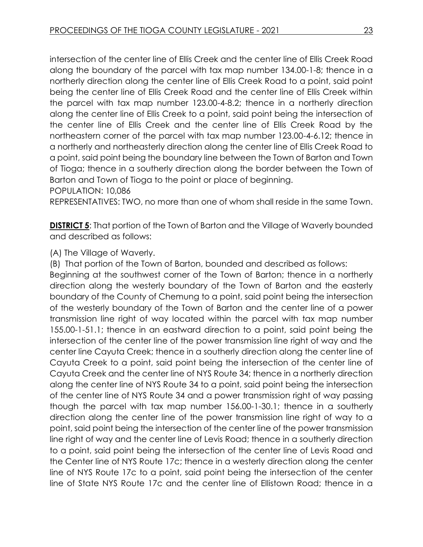intersection of the center line of Ellis Creek and the center line of Ellis Creek Road along the boundary of the parcel with tax map number 134.00-1-8; thence in a northerly direction along the center line of Ellis Creek Road to a point, said point being the center line of Ellis Creek Road and the center line of Ellis Creek within the parcel with tax map number 123.00-4-8.2; thence in a northerly direction along the center line of Ellis Creek to a point, said point being the intersection of the center line of Ellis Creek and the center line of Ellis Creek Road by the northeastern corner of the parcel with tax map number 123.00-4-6.12; thence in a northerly and northeasterly direction along the center line of Ellis Creek Road to a point, said point being the boundary line between the Town of Barton and Town of Tioga; thence in a southerly direction along the border between the Town of Barton and Town of Tioga to the point or place of beginning.

POPULATION: 10,086

REPRESENTATIVES: TWO, no more than one of whom shall reside in the same Town.

**DISTRICT 5:** That portion of the Town of Barton and the Village of Waverly bounded and described as follows:

## (A) The Village of Waverly.

(B) That portion of the Town of Barton, bounded and described as follows:

Beginning at the southwest corner of the Town of Barton; thence in a northerly direction along the westerly boundary of the Town of Barton and the easterly boundary of the County of Chemung to a point, said point being the intersection of the westerly boundary of the Town of Barton and the center line of a power transmission line right of way located within the parcel with tax map number 155.00-1-51.1; thence in an eastward direction to a point, said point being the intersection of the center line of the power transmission line right of way and the center line Cayuta Creek; thence in a southerly direction along the center line of Cayuta Creek to a point, said point being the intersection of the center line of Cayuta Creek and the center line of NYS Route 34; thence in a northerly direction along the center line of NYS Route 34 to a point, said point being the intersection of the center line of NYS Route 34 and a power transmission right of way passing though the parcel with tax map number 156.00-1-30.1; thence in a southerly direction along the center line of the power transmission line right of way to a point, said point being the intersection of the center line of the power transmission line right of way and the center line of Levis Road; thence in a southerly direction to a point, said point being the intersection of the center line of Levis Road and the Center line of NYS Route 17c; thence in a westerly direction along the center line of NYS Route 17c to a point, said point being the intersection of the center line of State NYS Route 17c and the center line of Ellistown Road; thence in a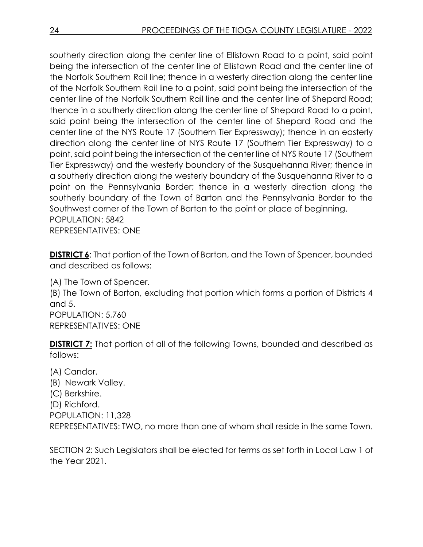southerly direction along the center line of Ellistown Road to a point, said point being the intersection of the center line of Ellistown Road and the center line of the Norfolk Southern Rail line; thence in a westerly direction along the center line of the Norfolk Southern Rail line to a point, said point being the intersection of the center line of the Norfolk Southern Rail line and the center line of Shepard Road; thence in a southerly direction along the center line of Shepard Road to a point, said point being the intersection of the center line of Shepard Road and the center line of the NYS Route 17 (Southern Tier Expressway); thence in an easterly direction along the center line of NYS Route 17 (Southern Tier Expressway) to a point, said point being the intersection of the center line of NYS Route 17 (Southern Tier Expressway) and the westerly boundary of the Susquehanna River; thence in a southerly direction along the westerly boundary of the Susquehanna River to a point on the Pennsylvania Border; thence in a westerly direction along the southerly boundary of the Town of Barton and the Pennsylvania Border to the Southwest corner of the Town of Barton to the point or place of beginning. POPULATION: 5842 REPRESENTATIVES: ONE

**DISTRICT 6:** That portion of the Town of Barton, and the Town of Spencer, bounded and described as follows:

(A) The Town of Spencer. (B) The Town of Barton, excluding that portion which forms a portion of Districts 4 and 5. POPULATION: 5,760 REPRESENTATIVES: ONE

**DISTRICT 7:** That portion of all of the following Towns, bounded and described as follows:

(A) Candor. (B) Newark Valley. (C) Berkshire. (D) Richford. POPULATION: 11,328 REPRESENTATIVES: TWO, no more than one of whom shall reside in the same Town.

SECTION 2: Such Legislators shall be elected for terms as set forth in Local Law 1 of the Year 2021.